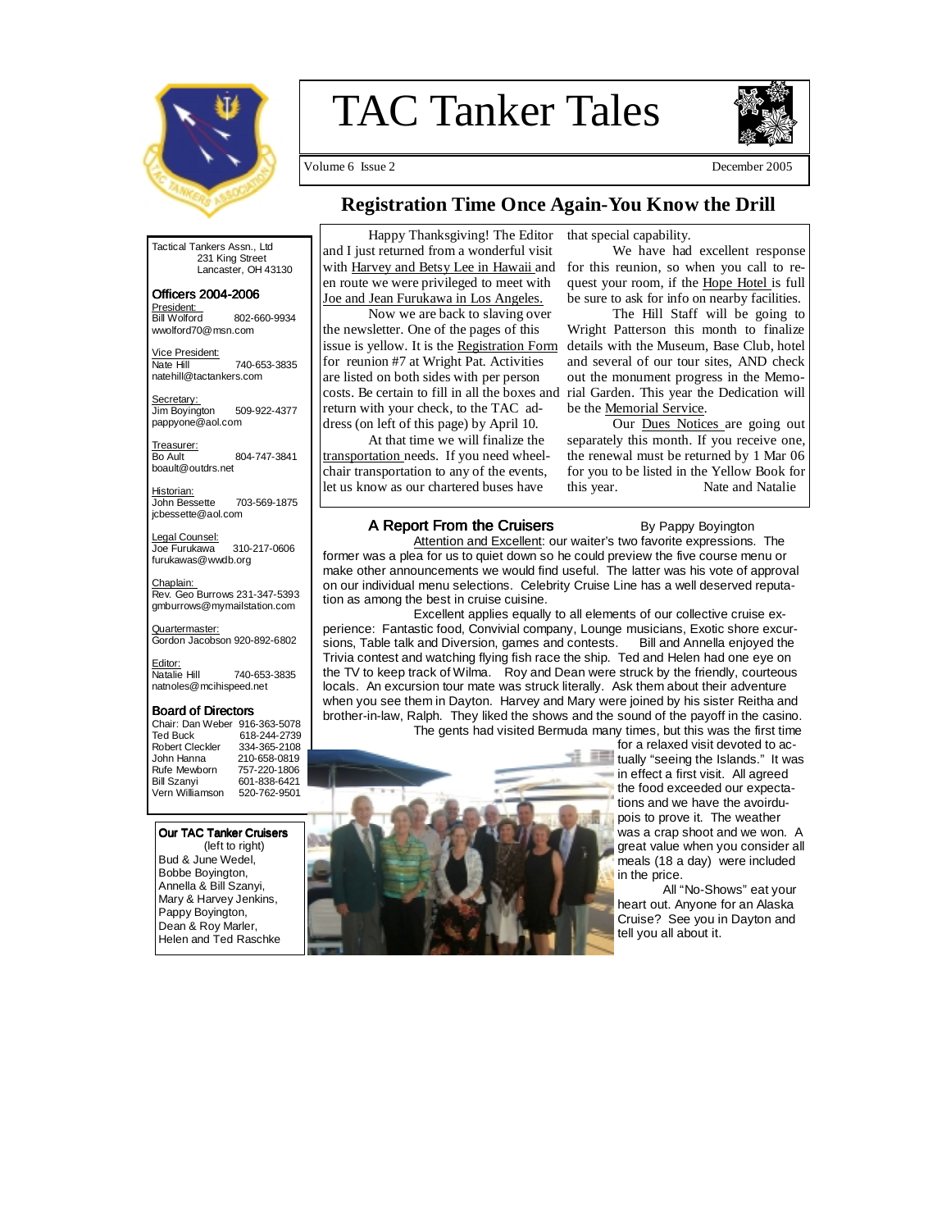

# TAC Tanker Tales



Volume 6 Issue 2 December 2005

# **Registration Time Once Again-You Know the Drill**

Tactical Tankers Assn., Ltd 231 King Street Lancaster, OH 43130

#### Officers 2004-2006

President:<br>Bill Wolford 802-660-9934 wwolford70@msn.com

 Vice President: Nate Hill 740-653-3835 natehill@tactankers.com

Secretary: Jim Boyington 509-922-4377 pappyone@aol.com

Treasurer: Bo Ault 804-747-3841 boault@outdrs.net

Historian:<br>John Bessette 703-569-1875 jcbessette@aol.com

Legal Counsel: Joe Furukawa 310-217-0606 furukawas@wwdb.org

Chaplain: Rev. Geo Burrows 231-347-5393 gmburrows@mymailstation.com

Quartermaster:<br>Gordon Jacobson 920-892-6802

Editor:<br>Natalie Hill 740-653-3835 natnoles@mcihispeed.net

#### Board of Directors

Chair: Dan Weber 916-363-5078 618-244-2739<br>334-365-2108 Probert Cleckler 334-365-2108<br>John Hanna 210-658-0819 John Hanna 210-658-0819 Rufe Mewborn Bill Szanyi 601-838-6421<br>Vern Williamson 520-762-9501 Vern Williamson 520-762-9501

Our TAC Tanker Cruisers (left to right) Bud & June Wedel, Bobbe Boyington, Annella & Bill Szanyi, Mary & Harvey Jenkins, Pappy Boyington,

Dean & Roy Marler, Helen and Ted Raschke

 Happy Thanksgiving! The Editor and I just returned from a wonderful visit en route we were privileged to meet with Joe and Jean Furukawa in Los Angeles.

 Now we are back to slaving over the newsletter. One of the pages of this issue is yellow. It is the Registration Form for reunion #7 at Wright Pat. Activities are listed on both sides with per person costs. Be certain to fill in all the boxes and return with your check, to the TAC address (on left of this page) by April 10.

 At that time we will finalize the transportation needs. If you need wheelchair transportation to any of the events, let us know as our chartered buses have

that special capability.

with Harvey and Betsy Lee in Hawaii and for this reunion, so when you call to re- We have had excellent response quest your room, if the Hope Hotel is full be sure to ask for info on nearby facilities.

 The Hill Staff will be going to Wright Patterson this month to finalize details with the Museum, Base Club, hotel and several of our tour sites, AND check out the monument progress in the Memorial Garden. This year the Dedication will be the Memorial Service.

 Our Dues Notices are going out separately this month. If you receive one, the renewal must be returned by 1 Mar 06 for you to be listed in the Yellow Book for this year. Nate and Natalie

#### A Report From the Cruisers By Pappy Boyington

 Attention and Excellent: our waiter's two favorite expressions. The former was a plea for us to quiet down so he could preview the five course menu or make other announcements we would find useful. The latter was his vote of approval on our individual menu selections. Celebrity Cruise Line has a well deserved reputation as among the best in cruise cuisine.

 Excellent applies equally to all elements of our collective cruise experience: Fantastic food, Convivial company, Lounge musicians, Exotic shore excursions, Table talk and Diversion, games and contests. Bill and Annella enjoyed the Trivia contest and watching flying fish race the ship. Ted and Helen had one eye on the TV to keep track of Wilma. Roy and Dean were struck by the friendly, courteous locals. An excursion tour mate was struck literally. Ask them about their adventure when you see them in Dayton. Harvey and Mary were joined by his sister Reitha and brother-in-law, Ralph. They liked the shows and the sound of the payoff in the casino. The gents had visited Bermuda many times, but this was the first time



for a relaxed visit devoted to actually "seeing the Islands." It was in effect a first visit. All agreed the food exceeded our expectations and we have the avoirdupois to prove it. The weather was a crap shoot and we won. A great value when you consider all meals (18 a day) were included in the price.

 All "No-Shows" eat your heart out. Anyone for an Alaska Cruise? See you in Dayton and tell you all about it.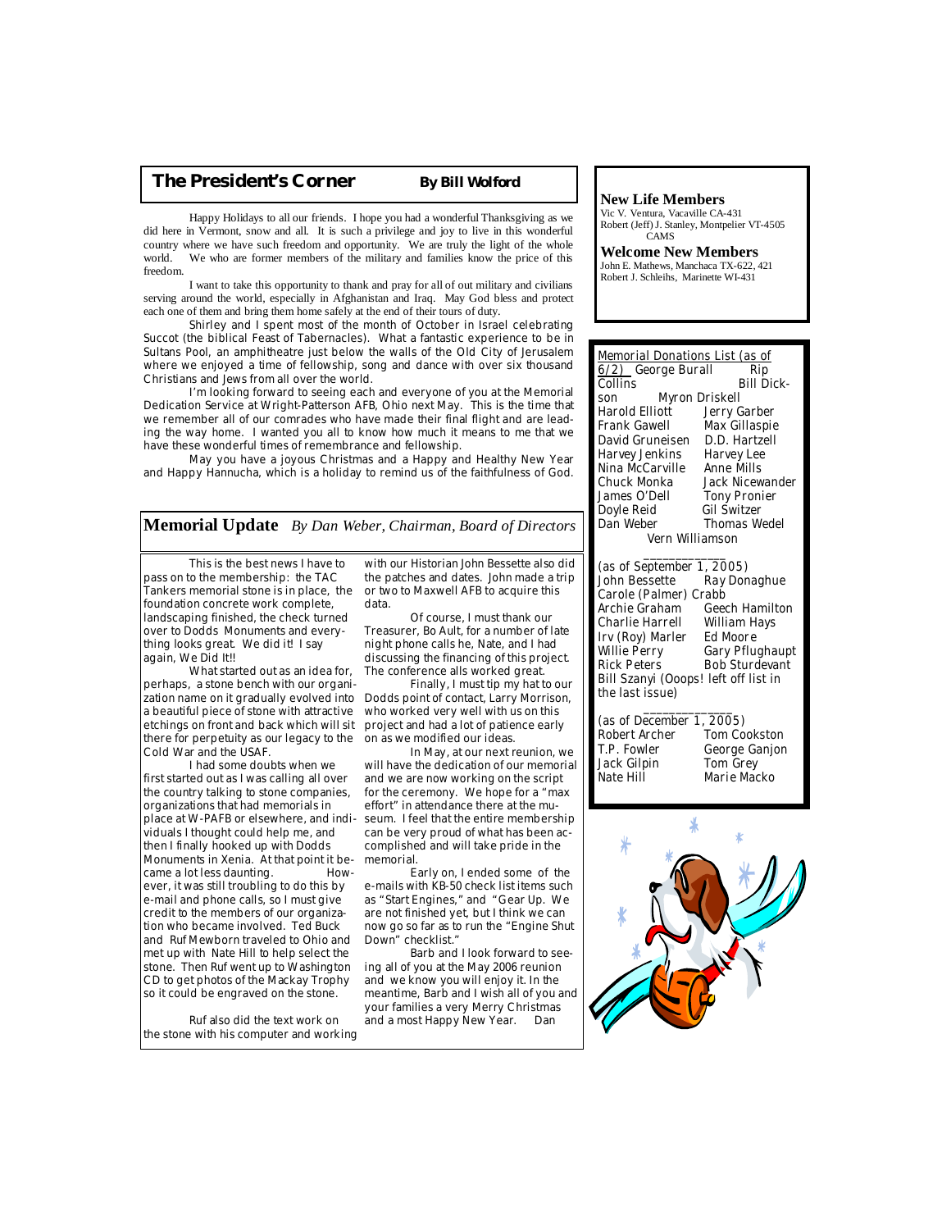# **The President's Corner** *By Bill Wolford*

 Happy Holidays to all our friends. I hope you had a wonderful Thanksgiving as we did here in Vermont, snow and all. It is such a privilege and joy to live in this wonderful country where we have such freedom and opportunity. We are truly the light of the whole world. We who are former members of the military and families know the price of this freedom.

 I want to take this opportunity to thank and pray for all of out military and civilians serving around the world, especially in Afghanistan and Iraq. May God bless and protect each one of them and bring them home safely at the end of their tours of duty.

 Shirley and I spent most of the month of October in Israel celebrating Succot (the biblical Feast of Tabernacles). What a fantastic experience to be in Sultans Pool, an amphitheatre just below the walls of the Old City of Jerusalem where we enjoyed a time of fellowship, song and dance with over six thousand Christians and Jews from all over the world.

 I'm looking forward to seeing each and everyone of you at the Memorial Dedication Service at Wright-Patterson AFB, Ohio next May. This is the time that we remember all of our comrades who have made their final flight and are leading the way home. I wanted you all to know how much it means to me that we have these wonderful times of remembrance and fellowship.

 May you have a joyous Christmas and a Happy and Healthy New Year and Happy Hannucha, which is a holiday to remind us of the faithfulness of God.

# **Memorial Update** *By Dan Weber, Chairman, Board of Directors*

 This is the best news I have to pass on to the membership: the TAC Tankers memorial stone is in place, the foundation concrete work complete, landscaping finished, the check turned over to Dodds Monuments and everything looks great. We did it! I say again, We Did It!!

 What started out as an idea for, perhaps, a stone bench with our organization name on it gradually evolved into a beautiful piece of stone with attractive etchings on front and back which will sit there for perpetuity as our legacy to the Cold War and the USAE.

 I had some doubts when we first started out as I was calling all over the country talking to stone companies, organizations that had memorials in place at W-PAFB or elsewhere, and individuals I thought could help me, and then I finally hooked up with Dodds Monuments in Xenia. At that point it became a lot less daunting. However, it was still troubling to do this by e-mail and phone calls, so I must give credit to the members of our organization who became involved. Ted Buck and Ruf Mewborn traveled to Ohio and met up with Nate Hill to help select the stone. Then Ruf went up to Washington CD to get photos of the Mackay Trophy so it could be engraved on the stone.

 Ruf also did the text work on the stone with his computer and working

with our Historian John Bessette also did the patches and dates. John made a trip or two to Maxwell AFB to acquire this data.

 Of course, I must thank our Treasurer, Bo Ault, for a number of late night phone calls he, Nate, and I had discussing the financing of this project. The conference alls worked great.

 Finally, I must tip my hat to our Dodds point of contact, Larry Morrison, who worked very well with us on this project and had a lot of patience early on as we modified our ideas.

 In May, at our next reunion, we will have the dedication of our memorial and we are now working on the script for the ceremony. We hope for a "max effort" in attendance there at the museum. I feel that the entire membership can be very proud of what has been accomplished and will take pride in the memorial.

 Early on, I ended some of the e-mails with KB-50 check list items such as "Start Engines," and "Gear Up. We are not finished yet, but I think we can now go so far as to run the "Engine Shut Down" checklist."

 Barb and I look forward to seeing all of you at the May 2006 reunion and we know you will enjoy it. In the meantime, Barb and I wish all of you and your families a very Merry Christmas and a most Happy New Year. Dan

#### **New Life Members**

Vic V. Ventura, Vacaville CA-431 Robert (Jeff) J. Stanley, Montpelier VT-4505 CAMS

**Welcome New Members**  John E. Mathews, Manchaca TX-622, 421 Robert J. Schleihs, Marinette WI-431

| Memorial Donations List (as of<br>6/2) George Burall<br>Collins<br>son<br>Harold Elliott<br><b>Frank Gawell</b><br>David Gruneisen<br>Harvey Jenkins<br>Nina McCarville<br>Chuck Monka<br>James O'Dell<br>Doyle Reid         | Rip<br><b>Bill Dick-</b><br>Myron Driskell<br>Jerry Garber<br>Max Gillaspie<br>D.D. Hartzell<br><b>Harvey Lee</b><br>Anne Mills<br>Jack Nicewander<br><b>Tony Pronier</b><br><b>Gil Switzer</b> |
|------------------------------------------------------------------------------------------------------------------------------------------------------------------------------------------------------------------------------|-------------------------------------------------------------------------------------------------------------------------------------------------------------------------------------------------|
| Dan Weber<br>Vern Williamson                                                                                                                                                                                                 | <b>Thomas Wedel</b>                                                                                                                                                                             |
| (as of September 1, 2005)<br>John Bessette<br>Carole (Palmer) Crabb<br>Archie Graham<br>Charlie Harrell<br>Irv (Roy) Marler<br>Willie Perry<br><b>Rick Peters</b><br>Bill Szanyi (Ooops! left off list in<br>the last issue) | Ray Donaghue<br>Geech Hamilton<br>William Hays<br>Ed Moore<br>Gary Pflughaupt<br><b>Bob Sturdevant</b>                                                                                          |
| (as of December 1, 2005)<br>Robert Archer<br>T.P. Fowler<br>Jack Gilpin<br>Nate Hill                                                                                                                                         | Tom Cookston<br>George Ganjon<br>Tom Grey<br>Marie Macko                                                                                                                                        |
|                                                                                                                                                                                                                              |                                                                                                                                                                                                 |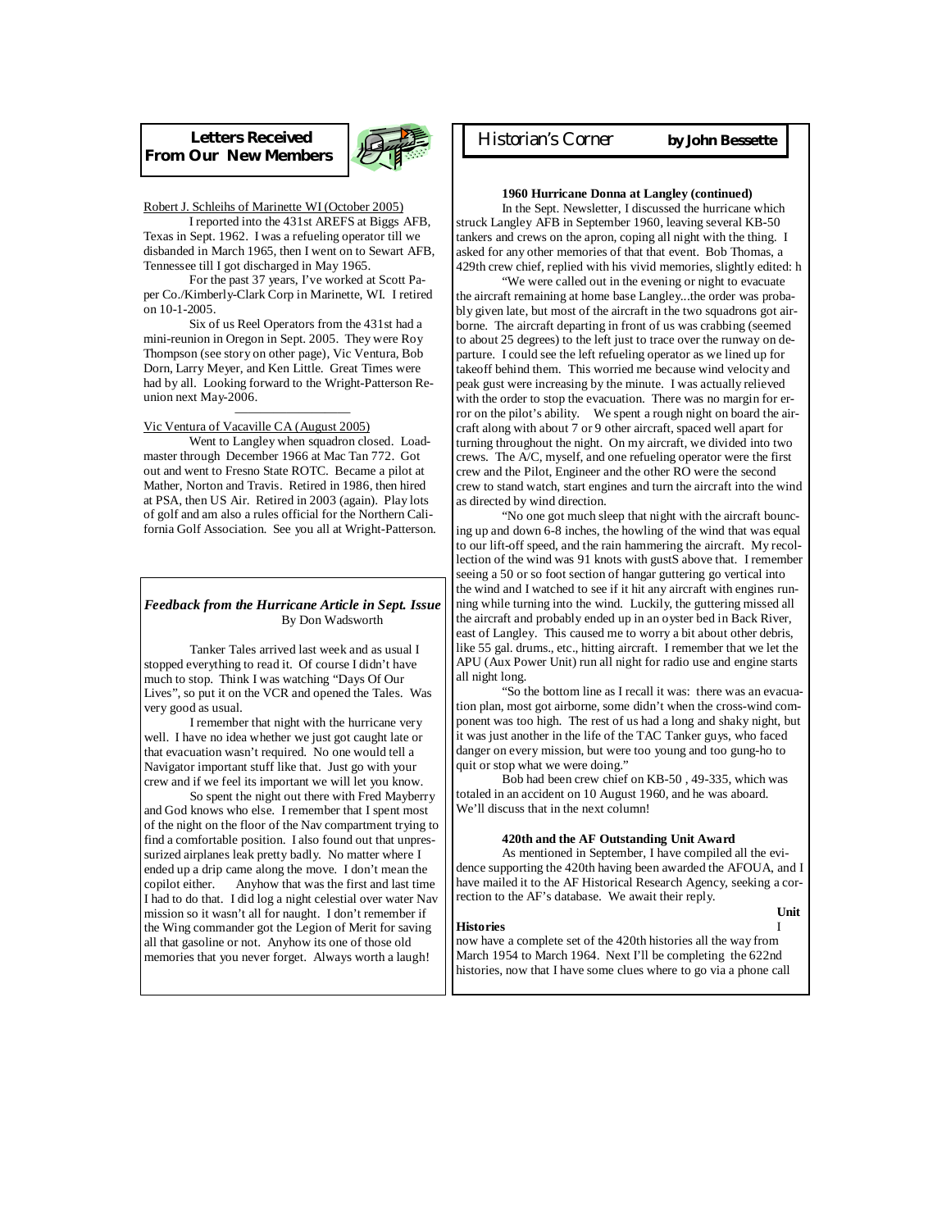## **Letters Received From Our New Members**



#### Robert J. Schleihs of Marinette WI (October 2005)

 I reported into the 431st AREFS at Biggs AFB, Texas in Sept. 1962. I was a refueling operator till we disbanded in March 1965, then I went on to Sewart AFB, Tennessee till I got discharged in May 1965.

 For the past 37 years, I've worked at Scott Paper Co./Kimberly-Clark Corp in Marinette, WI. I retired on 10-1-2005.

 Six of us Reel Operators from the 431st had a mini-reunion in Oregon in Sept. 2005. They were Roy Thompson (see story on other page), Vic Ventura, Bob Dorn, Larry Meyer, and Ken Little. Great Times were had by all. Looking forward to the Wright-Patterson Reunion next May-2006.

#### ————————— Vic Ventura of Vacaville CA (August 2005)

 Went to Langley when squadron closed. Loadmaster through December 1966 at Mac Tan 772. Got out and went to Fresno State ROTC. Became a pilot at Mather, Norton and Travis. Retired in 1986, then hired at PSA, then US Air. Retired in 2003 (again). Play lots of golf and am also a rules official for the Northern California Golf Association. See you all at Wright-Patterson.

#### *Feedback from the Hurricane Article in Sept. Issue* By Don Wadsworth

 Tanker Tales arrived last week and as usual I stopped everything to read it. Of course I didn't have much to stop. Think I was watching "Days Of Our Lives", so put it on the VCR and opened the Tales. Was very good as usual.

 I remember that night with the hurricane very well. I have no idea whether we just got caught late or that evacuation wasn't required. No one would tell a Navigator important stuff like that. Just go with your crew and if we feel its important we will let you know.

 So spent the night out there with Fred Mayberry and God knows who else. I remember that I spent most of the night on the floor of the Nav compartment trying to find a comfortable position. I also found out that unpressurized airplanes leak pretty badly. No matter where I ended up a drip came along the move. I don't mean the copilot either. Anyhow that was the first and last time I had to do that. I did log a night celestial over water Nav mission so it wasn't all for naught. I don't remember if the Wing commander got the Legion of Merit for saving all that gasoline or not. Anyhow its one of those old memories that you never forget. Always worth a laugh!

### Historian's Corner **by John Bessette**

#### **1960 Hurricane Donna at Langley (continued)**

In the Sept. Newsletter, I discussed the hurricane which struck Langley AFB in September 1960, leaving several KB-50 tankers and crews on the apron, coping all night with the thing. I asked for any other memories of that that event. Bob Thomas, a 429th crew chief, replied with his vivid memories, slightly edited: h

 "We were called out in the evening or night to evacuate the aircraft remaining at home base Langley...the order was probably given late, but most of the aircraft in the two squadrons got airborne. The aircraft departing in front of us was crabbing (seemed to about 25 degrees) to the left just to trace over the runway on departure. I could see the left refueling operator as we lined up for takeoff behind them. This worried me because wind velocity and peak gust were increasing by the minute. I was actually relieved with the order to stop the evacuation. There was no margin for error on the pilot's ability. We spent a rough night on board the aircraft along with about 7 or 9 other aircraft, spaced well apart for turning throughout the night. On my aircraft, we divided into two crews. The A/C, myself, and one refueling operator were the first crew and the Pilot, Engineer and the other RO were the second crew to stand watch, start engines and turn the aircraft into the wind as directed by wind direction.

 "No one got much sleep that night with the aircraft bouncing up and down 6-8 inches, the howling of the wind that was equal to our lift-off speed, and the rain hammering the aircraft. My recollection of the wind was 91 knots with gustS above that. I remember seeing a 50 or so foot section of hangar guttering go vertical into the wind and I watched to see if it hit any aircraft with engines running while turning into the wind. Luckily, the guttering missed all the aircraft and probably ended up in an oyster bed in Back River, east of Langley. This caused me to worry a bit about other debris, like 55 gal. drums., etc., hitting aircraft. I remember that we let the APU (Aux Power Unit) run all night for radio use and engine starts all night long.

 "So the bottom line as I recall it was: there was an evacuation plan, most got airborne, some didn't when the cross-wind component was too high. The rest of us had a long and shaky night, but it was just another in the life of the TAC Tanker guys, who faced danger on every mission, but were too young and too gung-ho to quit or stop what we were doing."

 Bob had been crew chief on KB-50 , 49-335, which was totaled in an accident on 10 August 1960, and he was aboard. We'll discuss that in the next column!

#### **420th and the AF Outstanding Unit Award**

As mentioned in September, I have compiled all the evidence supporting the 420th having been awarded the AFOUA, and I have mailed it to the AF Historical Research Agency, seeking a correction to the AF's database. We await their reply.

**Unit** 

#### **Histories** I

now have a complete set of the 420th histories all the way from March 1954 to March 1964. Next I'll be completing the 622nd histories, now that I have some clues where to go via a phone call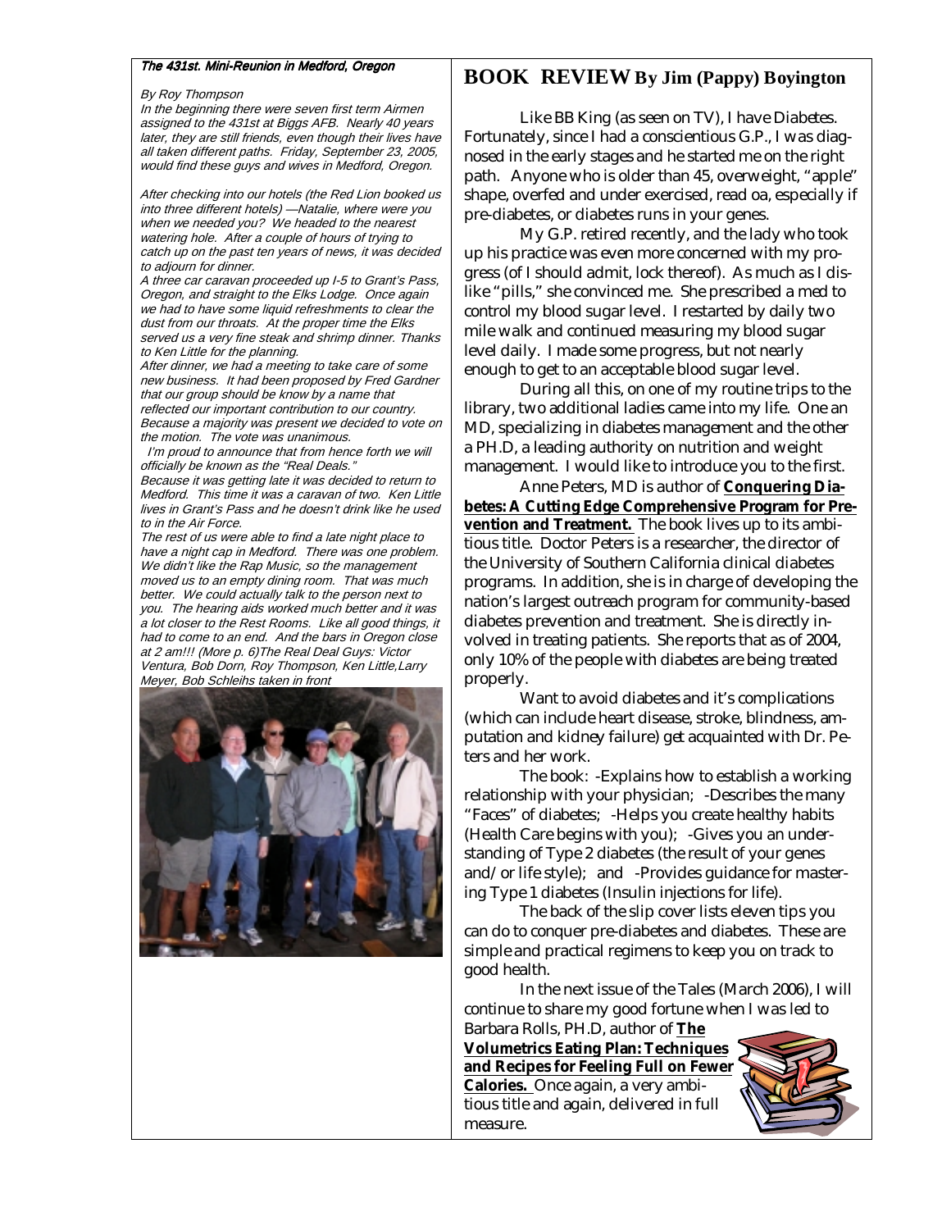### The 431st. Mini-Reunion in Medford, Oregon

#### By Roy Thompson

In the beginning there were seven first term Airmen assigned to the 431st at Biggs AFB. Nearly 40 years later, they are still friends, even though their lives have all taken different paths. Friday, September 23, 2005, would find these guys and wives in Medford, Oregon.

After checking into our hotels (the Red Lion booked us into three different hotels) —Natalie, where were you when we needed you? We headed to the nearest watering hole. After a couple of hours of trying to catch up on the past ten years of news, it was decided to adjourn for dinner.

A three car caravan proceeded up I-5 to Grant's Pass, Oregon, and straight to the Elks Lodge. Once again we had to have some liquid refreshments to clear the dust from our throats. At the proper time the Elks served us a very fine steak and shrimp dinner. Thanks to Ken Little for the planning.

After dinner, we had a meeting to take care of some new business. It had been proposed by Fred Gardner that our group should be know by a name that reflected our important contribution to our country. Because a majority was present we decided to vote on the motion. The vote was unanimous.

 I'm proud to announce that from hence forth we will officially be known as the "Real Deals."

Because it was getting late it was decided to return to Medford. This time it was a caravan of two. Ken Little lives in Grant's Pass and he doesn't drink like he used to in the Air Force.

The rest of us were able to find a late night place to have a night cap in Medford. There was one problem. We didn't like the Rap Music, so the management moved us to an empty dining room. That was much better. We could actually talk to the person next to you. The hearing aids worked much better and it was a lot closer to the Rest Rooms. Like all good things, it had to come to an end. And the bars in Oregon close at 2 am!!! (More p. 6)The Real Deal Guys: Victor Ventura, Bob Dorn, Roy Thompson, Ken Little,Larry Meyer, Bob Schleihs taken in front



# **BOOK REVIEW By Jim (Pappy) Boyington**

 Like BB King (as seen on TV), I have Diabetes. Fortunately, since I had a conscientious G.P., I was diagnosed in the early stages and he started me on the right path. Anyone who is older than 45, overweight, "apple" shape, overfed and under exercised, read oa, especially if pre-diabetes, or diabetes runs in your genes.

 My G.P. retired recently, and the lady who took up his practice was even more concerned with my progress (of I should admit, lock thereof). As much as I dislike "pills," she convinced me. She prescribed a med to control my blood sugar level. I restarted by daily two mile walk and continued measuring my blood sugar level daily. I made some progress, but not nearly enough to get to an acceptable blood sugar level.

 During all this, on one of my routine trips to the library, two additional ladies came into my life. One an MD, specializing in diabetes management and the other a PH.D, a leading authority on nutrition and weight management. I would like to introduce you to the first.

 Anne Peters, MD is author of **Conquering Diabetes: A Cutting Edge Comprehensive Program for Prevention and Treatment.** The book lives up to its ambitious title. Doctor Peters is a researcher, the director of the University of Southern California clinical diabetes programs. In addition, she is in charge of developing the nation's largest outreach program for community-based diabetes prevention and treatment. She is directly involved in treating patients. She reports that as of 2004, only 10% of the people with diabetes are being treated properly.

 Want to avoid diabetes and it's complications (which can include heart disease, stroke, blindness, amputation and kidney failure) get acquainted with Dr. Peters and her work.

 The book: -Explains how to establish a working relationship with your physician; -Describes the many "Faces" of diabetes; -Helps you create healthy habits (Health Care begins with you); -Gives you an understanding of Type 2 diabetes (the result of your genes and/or life style); and -Provides guidance for mastering Type 1 diabetes (Insulin injections for life).

 The back of the slip cover lists eleven tips you can do to conquer pre-diabetes and diabetes. These are simple and practical regimens to keep you on track to good health.

 In the next issue of the Tales (March 2006), I will continue to share my good fortune when I was led to

Barbara Rolls, PH.D, author of **The Volumetrics Eating Plan: Techniques and Recipes for Feeling Full on Fewer Calories.** Once again, a very ambitious title and again, delivered in full measure.

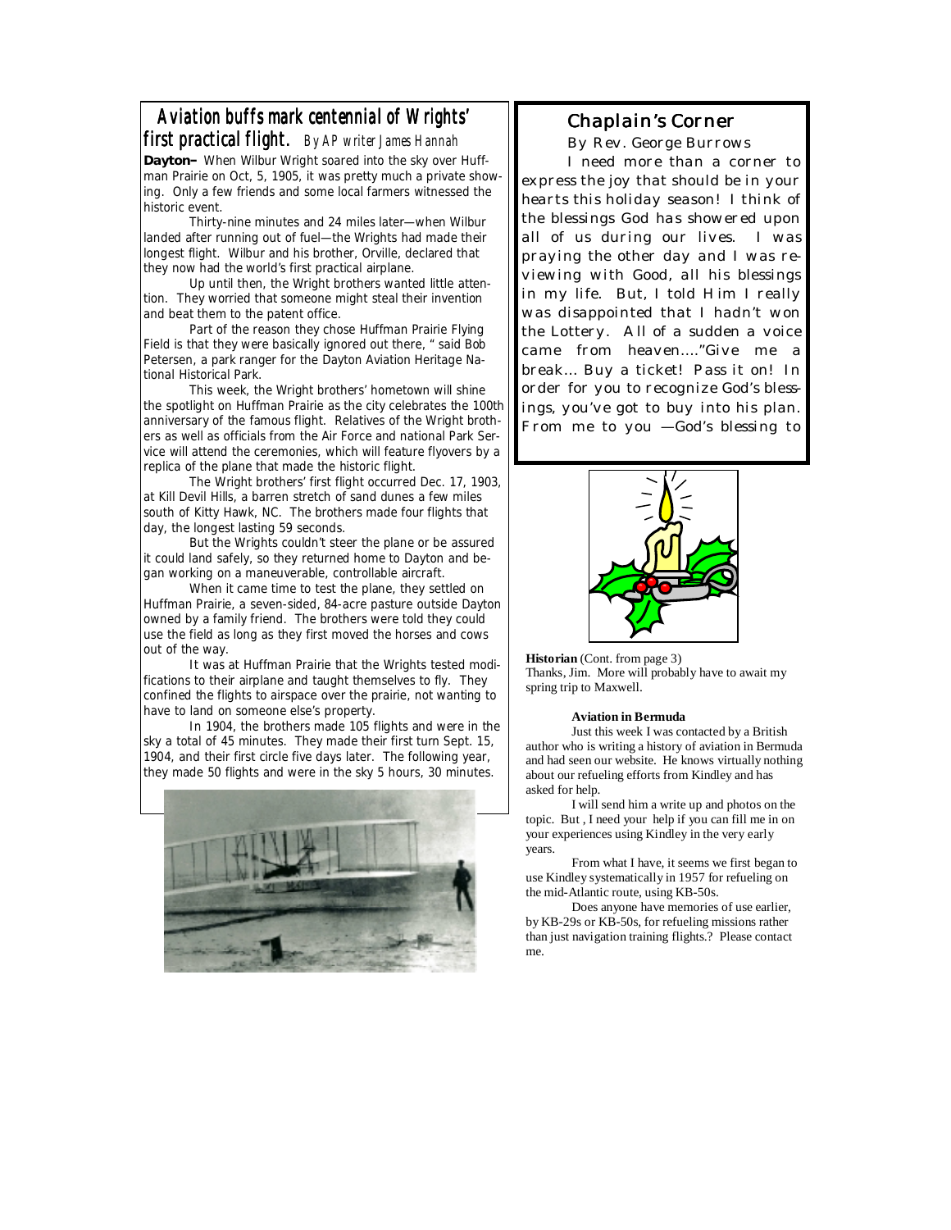# *Aviation buffs mark centennial of Wrights' Aviation buffs mark centennial of Wrights' Aviation of Wrights' first practical flight. By AP writer James Hannah*

**Dayton–** When Wilbur Wright soared into the sky over Huffman Prairie on Oct, 5, 1905, it was pretty much a private showing. Only a few friends and some local farmers witnessed the historic event.

 Thirty-nine minutes and 24 miles later—when Wilbur landed after running out of fuel—the Wrights had made their longest flight. Wilbur and his brother, Orville, declared that they now had the world's first practical airplane.

 Up until then, the Wright brothers wanted little attention. They worried that someone might steal their invention and beat them to the patent office.

 Part of the reason they chose Huffman Prairie Flying Field is that they were basically ignored out there, " said Bob Petersen, a park ranger for the Dayton Aviation Heritage National Historical Park.

 This week, the Wright brothers' hometown will shine the spotlight on Huffman Prairie as the city celebrates the 100th anniversary of the famous flight. Relatives of the Wright brothers as well as officials from the Air Force and national Park Service will attend the ceremonies, which will feature flyovers by a replica of the plane that made the historic flight.

 The Wright brothers' first flight occurred Dec. 17, 1903, at Kill Devil Hills, a barren stretch of sand dunes a few miles south of Kitty Hawk, NC. The brothers made four flights that day, the longest lasting 59 seconds.

 But the Wrights couldn't steer the plane or be assured it could land safely, so they returned home to Dayton and began working on a maneuverable, controllable aircraft.

 When it came time to test the plane, they settled on Huffman Prairie, a seven-sided, 84-acre pasture outside Dayton owned by a family friend. The brothers were told they could use the field as long as they first moved the horses and cows out of the way.

 It was at Huffman Prairie that the Wrights tested modifications to their airplane and taught themselves to fly. They confined the flights to airspace over the prairie, not wanting to have to land on someone else's property.

 In 1904, the brothers made 105 flights and were in the sky a total of 45 minutes. They made their first turn Sept. 15, 1904, and their first circle five days later. The following year, they made 50 flights and were in the sky 5 hours, 30 minutes.



# *Chaplain's Corner Chaplain's Corner Chaplain's Corner*

 *By Rev. George Burrows* 

 *I need more than a corner to express the joy that should be in your hearts this holiday season! I think of the blessings God has showered upon all of us during our lives. I was praying the other day and I was reviewing with Good, all his blessings in my life. But, I told Him I really was disappointed that I hadn't won the Lottery. All of a sudden a voice came from heaven…."Give me a break… Buy a ticket! Pass it on! In order for you to recognize God's blessings, you've got to buy into his plan. From me to you —God's blessing to* 



**Historian** (Cont. from page 3) Thanks, Jim. More will probably have to await my spring trip to Maxwell.

#### **Aviation in Bermuda**

 Just this week I was contacted by a British author who is writing a history of aviation in Bermuda and had seen our website. He knows virtually nothing about our refueling efforts from Kindley and has asked for help.

 I will send him a write up and photos on the topic. But , I need your help if you can fill me in on your experiences using Kindley in the very early years.

 From what I have, it seems we first began to use Kindley systematically in 1957 for refueling on the mid-Atlantic route, using KB-50s.

 Does anyone have memories of use earlier, by KB-29s or KB-50s, for refueling missions rather than just navigation training flights.? Please contact me.